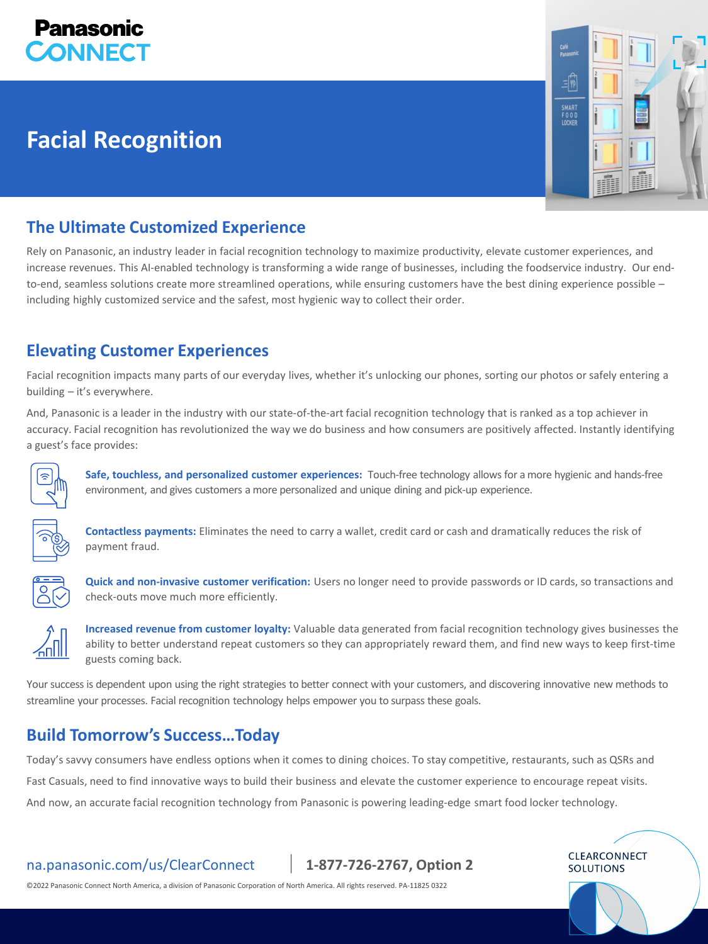

# **Facial Recognition**



**CLEARCONNECT SOLUTIONS** 

## **The Ultimate Customized Experience**

Rely on Panasonic, an industry leader in facial recognition technology to maximize productivity, elevate customer experiences, and increase revenues. This AI-enabled technology is transforming a wide range of businesses, including the foodservice industry. Our endto-end, seamless solutions create more streamlined operations, while ensuring customers have the best dining experience possible – including highly customized service and the safest, most hygienic way to collect their order.

## **Elevating Customer Experiences**

Facial recognition impacts many parts of our everyday lives, whether it's unlocking our phones, sorting our photos or safely entering a building – it's everywhere.

And, Panasonic is a leader in the industry with our state-of-the-art facial recognition technology that is ranked as a top achiever in accuracy. Facial recognition has revolutionized the way we do business and how consumers are positively affected. Instantly identifying a guest's face provides:



**Safe, touchless, and personalized customer experiences:** Touch-free technology allows for a more hygienic and hands-free environment, and gives customers a more personalized and unique dining and pick-up experience.



**Contactless payments:** Eliminates the need to carry a wallet, credit card or cash and dramatically reduces the risk of payment fraud.



**Quick and non-invasive customer verification:** Users no longer need to provide passwords or ID cards, so transactions and check-outs move much more efficiently.



**Increased revenue from customer loyalty:** Valuable data generated from facial recognition technology gives businesses the ability to better understand repeat customers so they can appropriately reward them, and find new ways to keep first-time guests coming back.

Your success is dependent upon using the right strategies to better connect with your customers, and discovering innovative new methods to streamline your processes. Facial recognition technology helps empower you to surpass these goals.

## **Build Tomorrow's Success…Today**

Today's savvy consumers have endless options when it comes to dining choices. To stay competitive, restaurants, such as QSRs and

Fast Casuals, need to find innovative ways to build their business and elevate the customer experience to encourage repeat visits.

And now, an accurate facial recognition technology from Panasonic is powering leading-edge smart food locker technology.

na.panasonic.com/us/ClearConnect | **1-877-726-2767, Option 2**